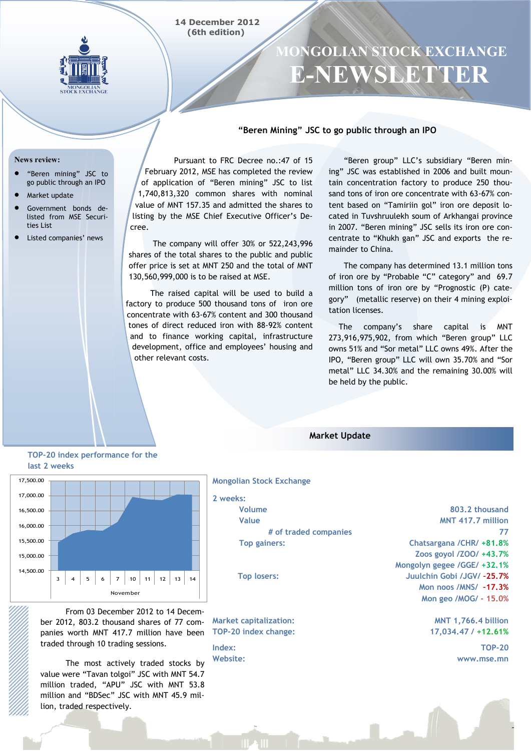



# **MONGOLIAN STOCK EXCHANGE E-NEWSLETTER**

## **"Beren Mining" JSC to go public through an IPO**

#### **News review:**

- "Beren mining" JSC to go public through an IPO
- Market update
- Government bonds delisted from MSE Securities List
- Listed companies' news

Pursuant to FRC Decree no.:47 of 15 February 2012, MSE has completed the review of application of "Beren mining" JSC to list 1,740,813,320 common shares with nominal value of MNT 157.35 and admitted the shares to listing by the MSE Chief Executive Officer"s Decree.

The company will offer 30% or 522,243,996 shares of the total shares to the public and public offer price is set at MNT 250 and the total of MNT 130,560,999,000 is to be raised at MSE.

The raised capital will be used to build a factory to produce 500 thousand tons of iron ore concentrate with 63-67% content and 300 thousand tones of direct reduced iron with 88-92% content and to finance working capital, infrastructure development, office and employees' housing and other relevant costs.

"Beren group" LLC"s subsidiary "Beren mining" JSC was established in 2006 and built mountain concentration factory to produce 250 thousand tons of iron ore concentrate with 63-67% content based on "Tamiriin gol" iron ore deposit located in Tuvshruulekh soum of Arkhangai province in 2007. "Beren mining" JSC sells its iron ore concentrate to "Khukh gan" JSC and exports the remainder to China.

The company has determined 13.1 million tons of iron ore by "Probable "C" category" and 69.7 million tons of iron ore by "Prognostic (P) category" (metallic reserve) on their 4 mining exploitation licenses.

The company"s share capital is MNT 273,916,975,902, from which "Beren group" LLC owns 51% and "Sor metal" LLC owns 49%. After the IPO, "Beren group" LLC will own 35.70% and "Sor metal" LLC 34.30% and the remaining 30.00% will be held by the public.

**TOP-20 index performance for the last 2 weeks**



From 03 December 2012 to 14 December 2012, 803.2 thousand shares of 77 companies worth MNT 417.7 million have been traded through 10 trading sessions.

The most actively traded stocks by value were "Tavan tolgoi" JSC with MNT 54.7 million traded, "APU" JSC with MNT 53.8 million and "BDSec" JSC with MNT 45.9 million, traded respectively.

**Market Update**

**2 weeks: Volume Value # of traded companies Top gainers:**

**Top losers:**

**Mongolian Stock Exchange**

**Market capitalization: TOP-20 index change:**

**Index: Website:**

**803.2 thousand MNT 417.7 million 77 Chatsargana /CHR/ +81.8% Zoos goyol /ZOO/ +43.7% Mongolyn gegee /GGE/ +32.1% Juulchin Gobi /JGV/ –25.7% Mon noos /MNS/ –17.3% Mon geo /MOG/ - 15.0%**

> **MNT 1,766.4 billion 17,034.47 / +12.61%**

> > **TOP-20 www.mse.mn**